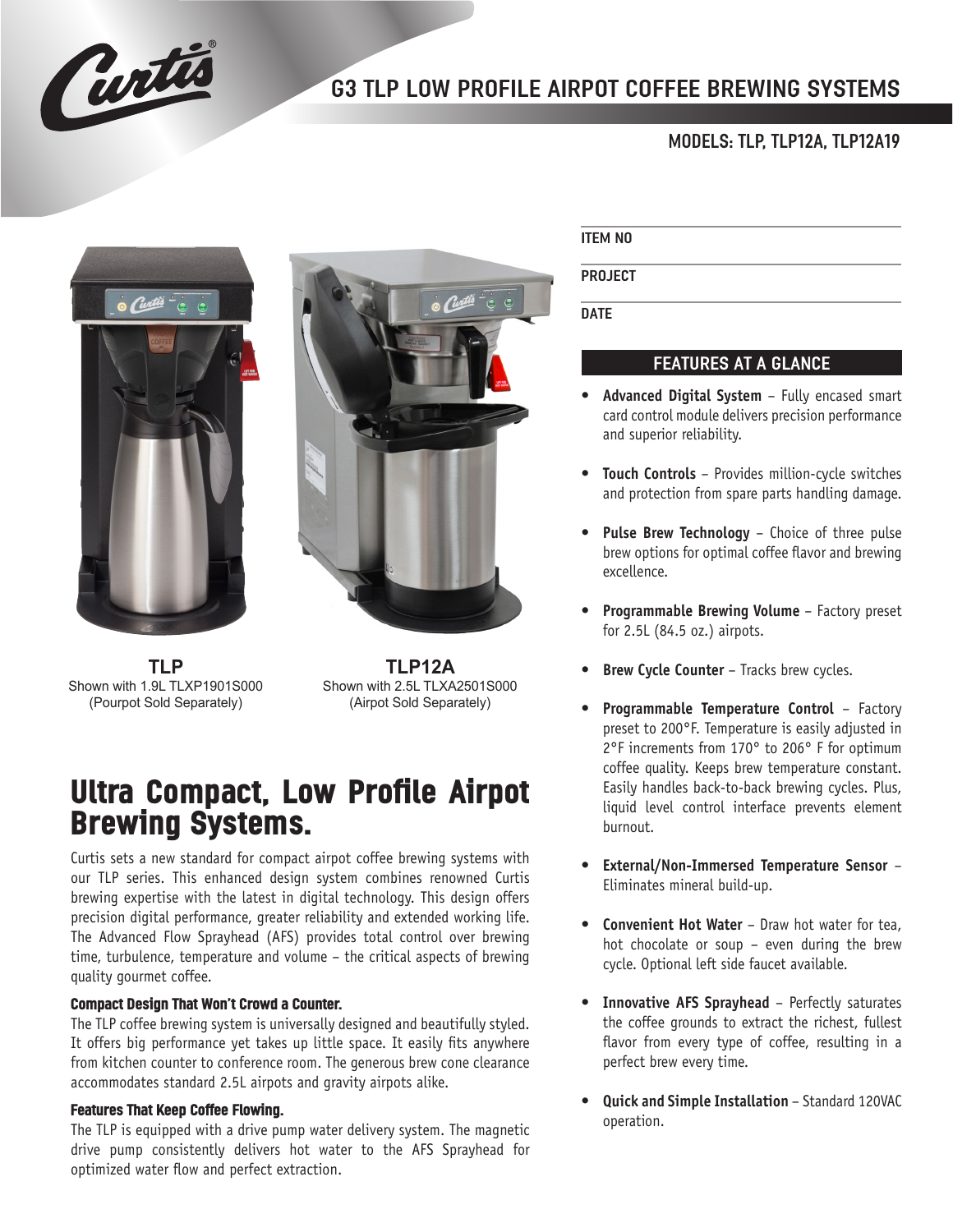

## G3 TLP LOW PROFILE AIRPOT COFFEE BREWING SYSTEMS

## MODELS: TLP, TLP12A, TLP12A19



**TLP** Shown with 1.9L TLXP1901S000 (Pourpot Sold Separately)

**TLP12A** Shown with 2.5L TLXA2501S000 (Airpot Sold Separately)

# **Ultra Compact, Low Profile Airpot Brewing Systems.**

Curtis sets a new standard for compact airpot coffee brewing systems with our TLP series. This enhanced design system combines renowned Curtis brewing expertise with the latest in digital technology. This design offers precision digital performance, greater reliability and extended working life. The Advanced Flow Sprayhead (AFS) provides total control over brewing time, turbulence, temperature and volume – the critical aspects of brewing quality gourmet coffee.

#### **Compact Design That Won't Crowd a Counter.**

The TLP coffee brewing system is universally designed and beautifully styled. It offers big performance yet takes up little space. It easily fits anywhere from kitchen counter to conference room. The generous brew cone clearance accommodates standard 2.5L airpots and gravity airpots alike.

#### **Features That Keep Coffee Flowing.**

The TLP is equipped with a drive pump water delivery system. The magnetic drive pump consistently delivers hot water to the AFS Sprayhead for optimized water flow and perfect extraction.

#### ITEM NO

PROJECT

**DATE** 

## FEATURES AT A GLANCE

- **• Advanced Digital System** Fully encased smart card control module delivers precision performance and superior reliability.
- **• Touch Controls** Provides million-cycle switches and protection from spare parts handling damage.
- **Pulse Brew Technology** Choice of three pulse brew options for optimal coffee flavor and brewing excellence.
- **• Programmable Brewing Volume** Factory preset for 2.5L (84.5 oz.) airpots.
- **Brew Cycle Counter** Tracks brew cycles.
- **• Programmable Temperature Control** Factory preset to 200°F. Temperature is easily adjusted in 2°F increments from 170° to 206° F for optimum coffee quality. Keeps brew temperature constant. Easily handles back-to-back brewing cycles. Plus, liquid level control interface prevents element burnout.
- **• External/Non-Immersed Temperature Sensor** Eliminates mineral build-up.
- **• Convenient Hot Water** Draw hot water for tea, hot chocolate or soup – even during the brew cycle. Optional left side faucet available.
- **• Innovative AFS Sprayhead** Perfectly saturates the coffee grounds to extract the richest, fullest flavor from every type of coffee, resulting in a perfect brew every time.
- **• Quick and Simple Installation** Standard 120VAC operation.